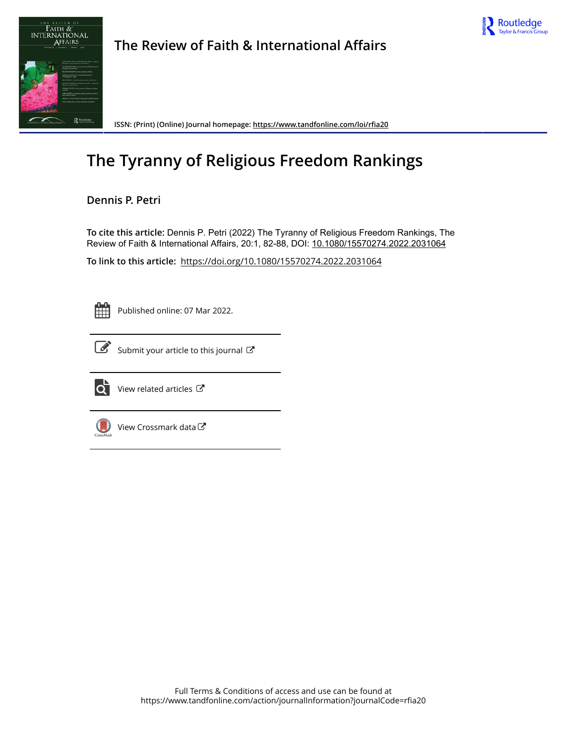



**The Review of Faith & International Affairs**

**ISSN: (Print) (Online) Journal homepage:<https://www.tandfonline.com/loi/rfia20>**

# **The Tyranny of Religious Freedom Rankings**

### **Dennis P. Petri**

**To cite this article:** Dennis P. Petri (2022) The Tyranny of Religious Freedom Rankings, The Review of Faith & International Affairs, 20:1, 82-88, DOI: [10.1080/15570274.2022.2031064](https://www.tandfonline.com/action/showCitFormats?doi=10.1080/15570274.2022.2031064)

**To link to this article:** <https://doi.org/10.1080/15570274.2022.2031064>



Published online: 07 Mar 2022.



 $\overrightarrow{S}$  [Submit your article to this journal](https://www.tandfonline.com/action/authorSubmission?journalCode=rfia20&show=instructions)  $\overrightarrow{S}$ 



 $\overrightarrow{Q}$  [View related articles](https://www.tandfonline.com/doi/mlt/10.1080/15570274.2022.2031064)  $\overrightarrow{C}$ 



 $\bigcirc$  [View Crossmark data](http://crossmark.crossref.org/dialog/?doi=10.1080/15570274.2022.2031064&domain=pdf&date_stamp=2022-03-07) $\mathbb{Z}$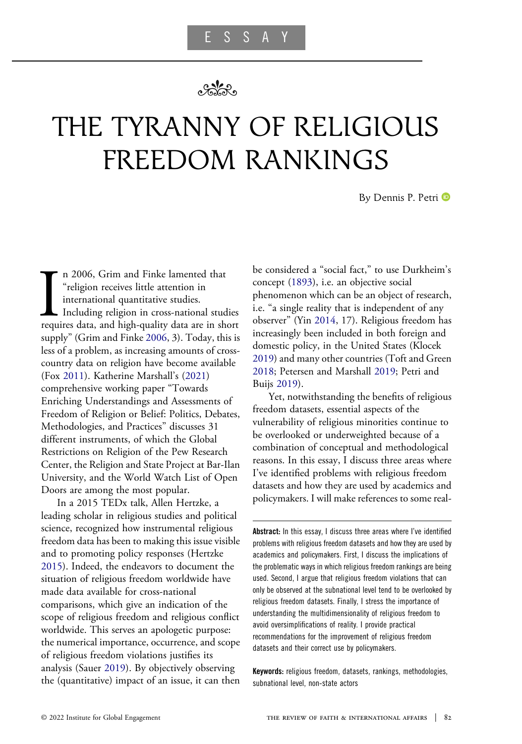## $\sim$

# THE TYRANNY OF RELIGIOUS FREEDOM RANKINGS

By Dennis P. Petri

<span id="page-1-2"></span><span id="page-1-1"></span>In 2006, Grim and Finke lamented that<br>
"religion receives little attention in<br>
international quantitative studies.<br>
Including religion in cross-national studies<br>
requires data, and high-quality data are in short n 2006, Grim and Finke lamented that "religion receives little attention in international quantitative studies. Including religion in cross-national studies supply" (Grim and Finke [2006,](#page-6-0) 3). Today, this is less of a problem, as increasing amounts of crosscountry data on religion have become available (Fox [2011\)](#page-6-1). Katherine Marshall's [\(2021](#page-7-0)) comprehensive working paper "Towards Enriching Understandings and Assessments of Freedom of Religion or Belief: Politics, Debates, Methodologies, and Practices" discusses 31 different instruments, of which the Global Restrictions on Religion of the Pew Research Center, the Religion and State Project at Bar-Ilan University, and the World Watch List of Open Doors are among the most popular.

<span id="page-1-7"></span><span id="page-1-3"></span>In a 2015 TEDx talk, Allen Hertzke, a leading scholar in religious studies and political science, recognized how instrumental religious freedom data has been to making this issue visible and to promoting policy responses (Hertzke [2015\)](#page-6-2). Indeed, the endeavors to document the situation of religious freedom worldwide have made data available for cross-national comparisons, which give an indication of the scope of religious freedom and religious conflict worldwide. This serves an apologetic purpose: the numerical importance, occurrence, and scope of religious freedom violations justifies its analysis (Sauer [2019\)](#page-7-1). By objectively observing the (quantitative) impact of an issue, it can then <span id="page-1-9"></span><span id="page-1-0"></span>be considered a "social fact," to use Durkheim's concept [\(1893](#page-6-3)), i.e. an objective social phenomenon which can be an object of research, i.e. "a single reality that is independent of any observer" (Yin [2014](#page-7-2), 17). Religious freedom has increasingly been included in both foreign and domestic policy, in the United States (Klocek [2019\)](#page-6-4) and many other countries (Toft and Green [2018;](#page-7-3) Petersen and Marshall [2019;](#page-7-4) Petri and Buijs [2019](#page-7-5)).

<span id="page-1-8"></span><span id="page-1-6"></span><span id="page-1-5"></span><span id="page-1-4"></span>Yet, notwithstanding the benefits of religious freedom datasets, essential aspects of the vulnerability of religious minorities continue to be overlooked or underweighted because of a combination of conceptual and methodological reasons. In this essay, I discuss three areas where I've identified problems with religious freedom datasets and how they are used by academics and policymakers. I will make references to some real-

Abstract: In this essay, I discuss three areas where I've identified problems with religious freedom datasets and how they are used by academics and policymakers. First, I discuss the implications of the problematic ways in which religious freedom rankings are being used. Second, I argue that religious freedom violations that can only be observed at the subnational level tend to be overlooked by religious freedom datasets. Finally, I stress the importance of understanding the multidimensionality of religious freedom to avoid oversimplifications of reality. I provide practical recommendations for the improvement of religious freedom datasets and their correct use by policymakers.

Keywords: religious freedom, datasets, rankings, methodologies, subnational level, non-state actors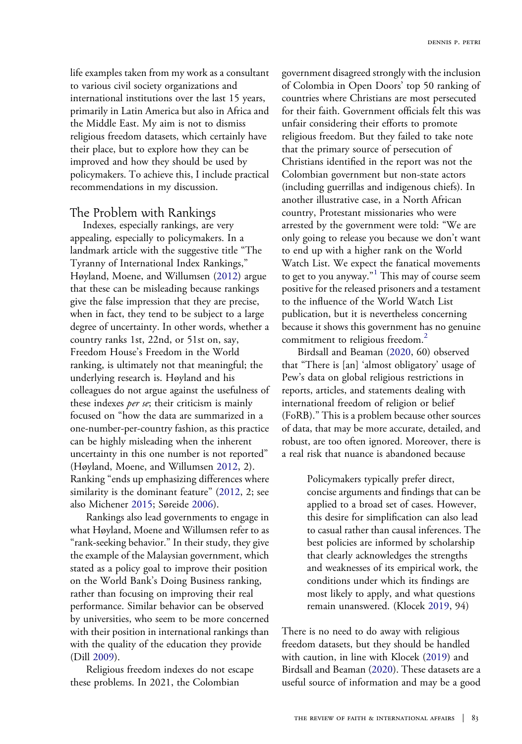life examples taken from my work as a consultant to various civil society organizations and international institutions over the last 15 years, primarily in Latin America but also in Africa and the Middle East. My aim is not to dismiss religious freedom datasets, which certainly have their place, but to explore how they can be improved and how they should be used by policymakers. To achieve this, I include practical recommendations in my discussion.

#### The Problem with Rankings

Indexes, especially rankings, are very appealing, especially to policymakers. In a landmark article with the suggestive title "The Tyranny of International Index Rankings," Høyland, Moene, and Willumsen ([2012\)](#page-6-5) argue that these can be misleading because rankings give the false impression that they are precise, when in fact, they tend to be subject to a large degree of uncertainty. In other words, whether a country ranks 1st, 22nd, or 51st on, say, Freedom House's Freedom in the World ranking, is ultimately not that meaningful; the underlying research is. Høyland and his colleagues do not argue against the usefulness of these indexes per se; their criticism is mainly focused on "how the data are summarized in a one-number-per-country fashion, as this practice can be highly misleading when the inherent uncertainty in this one number is not reported" (Høyland, Moene, and Willumsen [2012,](#page-6-5) 2). Ranking "ends up emphasizing differences where similarity is the dominant feature" [\(2012](#page-6-5), 2; see also Michener [2015](#page-7-6); Søreide [2006](#page-7-7)).

<span id="page-2-3"></span><span id="page-2-2"></span>Rankings also lead governments to engage in what Høyland, Moene and Willumsen refer to as "rank-seeking behavior." In their study, they give the example of the Malaysian government, which stated as a policy goal to improve their position on the World Bank's Doing Business ranking, rather than focusing on improving their real performance. Similar behavior can be observed by universities, who seem to be more concerned with their position in international rankings than with the quality of the education they provide (Dill [2009\)](#page-6-6).

<span id="page-2-1"></span>Religious freedom indexes do not escape these problems. In 2021, the Colombian

government disagreed strongly with the inclusion of Colombia in Open Doors' top 50 ranking of countries where Christians are most persecuted for their faith. Government officials felt this was unfair considering their efforts to promote religious freedom. But they failed to take note that the primary source of persecution of Christians identified in the report was not the Colombian government but non-state actors (including guerrillas and indigenous chiefs). In another illustrative case, in a North African country, Protestant missionaries who were arrested by the government were told: "We are only going to release you because we don't want to end up with a higher rank on the World Watch List. We expect the fanatical movements to get to you anyway." [1](#page-6-7) This may of course seem positive for the released prisoners and a testament to the influence of the World Watch List publication, but it is nevertheless concerning because it shows this government has no genuine commitment to religious freedom.<sup>[2](#page-6-8)</sup>

Birdsall and Beaman [\(2020](#page-6-9), 60) observed that "There is [an] 'almost obligatory' usage of Pew's data on global religious restrictions in reports, articles, and statements dealing with international freedom of religion or belief (FoRB)." This is a problem because other sources of data, that may be more accurate, detailed, and robust, are too often ignored. Moreover, there is a real risk that nuance is abandoned because

> Policymakers typically prefer direct, concise arguments and findings that can be applied to a broad set of cases. However, this desire for simplification can also lead to casual rather than causal inferences. The best policies are informed by scholarship that clearly acknowledges the strengths and weaknesses of its empirical work, the conditions under which its findings are most likely to apply, and what questions remain unanswered. (Klocek [2019,](#page-6-4) 94)

<span id="page-2-0"></span>There is no need to do away with religious freedom datasets, but they should be handled with caution, in line with Klocek ([2019\)](#page-6-4) and Birdsall and Beaman [\(2020](#page-6-9)). These datasets are a useful source of information and may be a good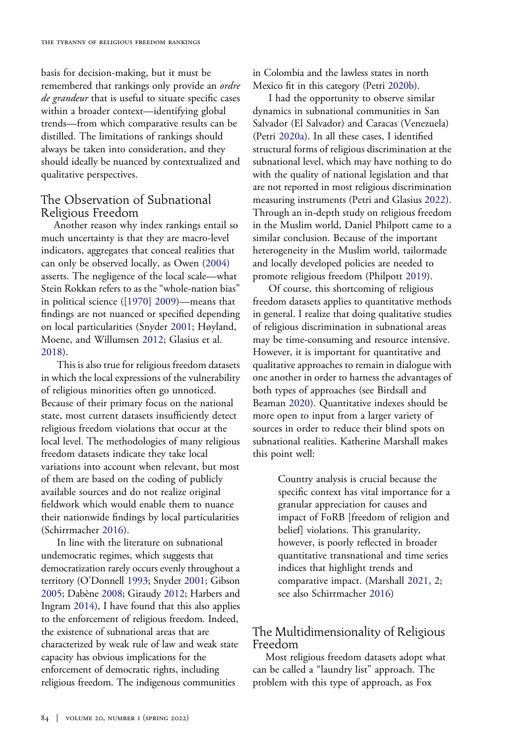basis for decision-making, but it must be remembered that rankings only provide an ordre de grandeur that is useful to situate specific cases within a broader context—identifying global trends—from which comparative results can be distilled. The limitations of rankings should always be taken into consideration, and they should ideally be nuanced by contextualized and qualitative perspectives.

#### The Observation of Subnational Religious Freedom

<span id="page-3-9"></span><span id="page-3-4"></span>Another reason why index rankings entail so much uncertainty is that they are macro-level indicators, aggregates that conceal realities that can only be observed locally, as Owen [\(2004](#page-7-8)) asserts. The negligence of the local scale—what Stein Rokkan refers to as the "whole-nation bias" in political science ([\[1970](#page-7-9)] [2009](#page-7-9))—means that findings are not nuanced or specified depending on local particularities (Snyder [2001](#page-7-10); Høyland, Moene, and Willumsen [2012](#page-6-5); Glasius et al. [2018\)](#page-6-10).

<span id="page-3-2"></span>This is also true for religious freedom datasets in which the local expressions of the vulnerability of religious minorities often go unnoticed. Because of their primary focus on the national state, most current datasets insufficiently detect religious freedom violations that occur at the local level. The methodologies of many religious freedom datasets indicate they take local variations into account when relevant, but most of them are based on the coding of publicly available sources and do not realize original fieldwork which would enable them to nuance their nationwide findings by local particularities (Schirrmacher [2016\)](#page-7-11).

<span id="page-3-3"></span><span id="page-3-1"></span><span id="page-3-0"></span>In line with the literature on subnational undemocratic regimes, which suggests that democratization rarely occurs evenly throughout a territory (O'Donnell [1993;](#page-7-12) Snyder [2001;](#page-7-10) Gibson [2005;](#page-6-11) Dabène [2008;](#page-6-12) Giraudy [2012](#page-6-13); Harbers and Ingram [2014](#page-6-14)), I have found that this also applies to the enforcement of religious freedom. Indeed, the existence of subnational areas that are characterized by weak rule of law and weak state capacity has obvious implications for the enforcement of democratic rights, including religious freedom. The indigenous communities

<span id="page-3-6"></span>in Colombia and the lawless states in north Mexico fit in this category (Petri [2020b](#page-7-13)).

<span id="page-3-7"></span><span id="page-3-5"></span>I had the opportunity to observe similar dynamics in subnational communities in San Salvador (El Salvador) and Caracas (Venezuela) (Petri [2020a\)](#page-7-14). In all these cases, I identified structural forms of religious discrimination at the subnational level, which may have nothing to do with the quality of national legislation and that are not reported in most religious discrimination measuring instruments (Petri and Glasius [2022](#page-7-15)). Through an in-depth study on religious freedom in the Muslim world, Daniel Philpott came to a similar conclusion. Because of the important heterogeneity in the Muslim world, tailormade and locally developed policies are needed to promote religious freedom (Philpott [2019](#page-7-16)).

<span id="page-3-8"></span>Of course, this shortcoming of religious freedom datasets applies to quantitative methods in general. I realize that doing qualitative studies of religious discrimination in subnational areas may be time-consuming and resource intensive. However, it is important for quantitative and qualitative approaches to remain in dialogue with one another in order to harness the advantages of both types of approaches (see Birdsall and Beaman [2020](#page-6-9)). Quantitative indexes should be more open to input from a larger variety of sources in order to reduce their blind spots on subnational realities. Katherine Marshall makes this point well:

> Country analysis is crucial because the specific context has vital importance for a granular appreciation for causes and impact of FoRB [freedom of religion and belief] violations. This granularity, however, is poorly reflected in broader quantitative transnational and time series indices that highlight trends and comparative impact. (Marshall [2021](#page-7-0), 2; see also Schirrmacher [2016](#page-7-11))

#### <span id="page-3-10"></span>The Multidimensionality of Religious Freedom

Most religious freedom datasets adopt what can be called a "laundry list" approach. The problem with this type of approach, as Fox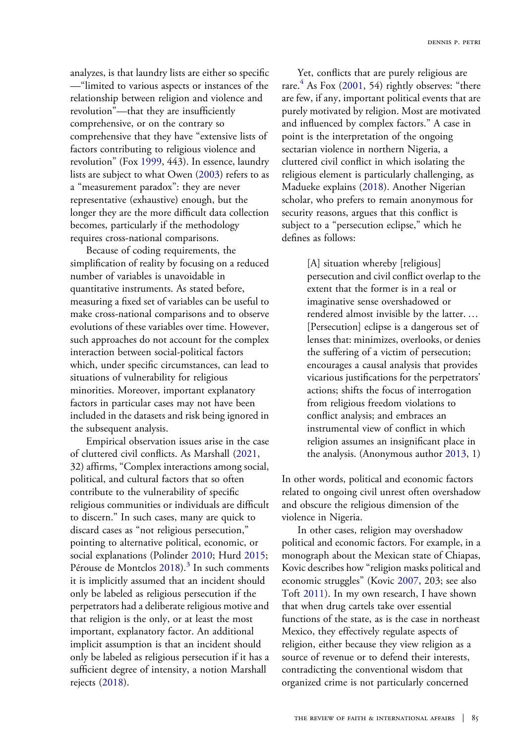<span id="page-4-1"></span>analyzes, is that laundry lists are either so specific —"limited to various aspects or instances of the relationship between religion and violence and revolution"—that they are insufficiently comprehensive, or on the contrary so comprehensive that they have "extensive lists of factors contributing to religious violence and revolution" (Fox [1999,](#page-6-15) 443). In essence, laundry lists are subject to what Owen ([2003\)](#page-7-17) refers to as a "measurement paradox": they are never representative (exhaustive) enough, but the longer they are the more difficult data collection becomes, particularly if the methodology requires cross-national comparisons.

<span id="page-4-7"></span>Because of coding requirements, the simplification of reality by focusing on a reduced number of variables is unavoidable in quantitative instruments. As stated before, measuring a fixed set of variables can be useful to make cross-national comparisons and to observe evolutions of these variables over time. However, such approaches do not account for the complex interaction between social-political factors which, under specific circumstances, can lead to situations of vulnerability for religious minorities. Moreover, important explanatory factors in particular cases may not have been included in the datasets and risk being ignored in the subsequent analysis.

<span id="page-4-8"></span><span id="page-4-6"></span><span id="page-4-3"></span>Empirical observation issues arise in the case of cluttered civil conflicts. As Marshall [\(2021](#page-7-0), 32) affirms, "Complex interactions among social, political, and cultural factors that so often contribute to the vulnerability of specific religious communities or individuals are difficult to discern." In such cases, many are quick to discard cases as "not religious persecution," pointing to alternative political, economic, or social explanations (Polinder [2010;](#page-7-18) Hurd [2015;](#page-6-16) Pérouse de Montclos [2018](#page-7-19)).<sup>3</sup> In such comments it is implicitly assumed that an incident should only be labeled as religious persecution if the perpetrators had a deliberate religious motive and that religion is the only, or at least the most important, explanatory factor. An additional implicit assumption is that an incident should only be labeled as religious persecution if it has a sufficient degree of intensity, a notion Marshall rejects ([2018\)](#page-7-20).

<span id="page-4-2"></span>Yet, conflicts that are purely religious are rare. $4$  As Fox [\(2001](#page-6-19), 54) rightly observes: "there are few, if any, important political events that are purely motivated by religion. Most are motivated and influenced by complex factors." A case in point is the interpretation of the ongoing sectarian violence in northern Nigeria, a cluttered civil conflict in which isolating the religious element is particularly challenging, as Madueke explains ([2018\)](#page-7-21). Another Nigerian scholar, who prefers to remain anonymous for security reasons, argues that this conflict is subject to a "persecution eclipse," which he defines as follows:

> <span id="page-4-5"></span>[A] situation whereby [religious] persecution and civil conflict overlap to the extent that the former is in a real or imaginative sense overshadowed or rendered almost invisible by the latter. … [Persecution] eclipse is a dangerous set of lenses that: minimizes, overlooks, or denies the suffering of a victim of persecution; encourages a causal analysis that provides vicarious justifications for the perpetrators' actions; shifts the focus of interrogation from religious freedom violations to conflict analysis; and embraces an instrumental view of conflict in which religion assumes an insignificant place in the analysis. (Anonymous author [2013,](#page-6-20) 1)

<span id="page-4-0"></span>In other words, political and economic factors related to ongoing civil unrest often overshadow and obscure the religious dimension of the violence in Nigeria.

<span id="page-4-9"></span><span id="page-4-4"></span>In other cases, religion may overshadow political and economic factors. For example, in a monograph about the Mexican state of Chiapas, Kovic describes how "religion masks political and economic struggles" (Kovic [2007,](#page-7-22) 203; see also Toft [2011\)](#page-7-23). In my own research, I have shown that when drug cartels take over essential functions of the state, as is the case in northeast Mexico, they effectively regulate aspects of religion, either because they view religion as a source of revenue or to defend their interests, contradicting the conventional wisdom that organized crime is not particularly concerned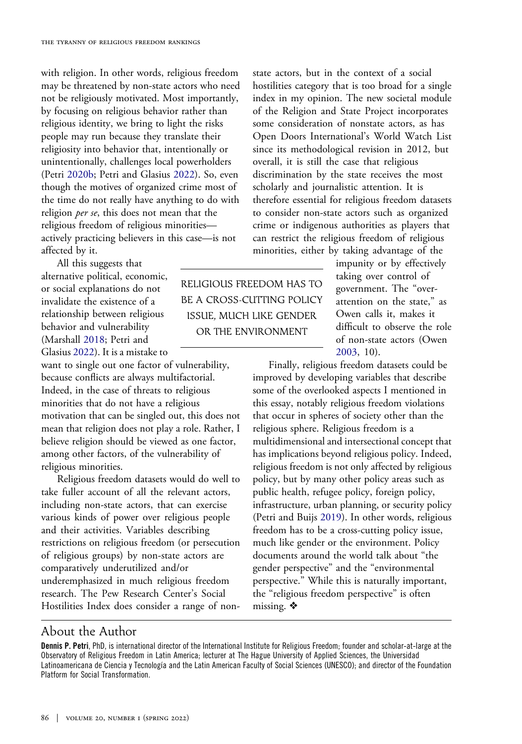with religion. In other words, religious freedom may be threatened by non-state actors who need not be religiously motivated. Most importantly, by focusing on religious behavior rather than religious identity, we bring to light the risks people may run because they translate their religiosity into behavior that, intentionally or unintentionally, challenges local powerholders (Petri [2020b](#page-7-13); Petri and Glasius [2022\)](#page-7-15). So, even though the motives of organized crime most of the time do not really have anything to do with religion *per se*, this does not mean that the religious freedom of religious minorities actively practicing believers in this case—is not affected by it.

All this suggests that alternative political, economic, or social explanations do not invalidate the existence of a relationship between religious behavior and vulnerability (Marshall [2018;](#page-7-20) Petri and Glasius [2022](#page-7-15)). It is a mistake to

want to single out one factor of vulnerability, because conflicts are always multifactorial. Indeed, in the case of threats to religious minorities that do not have a religious motivation that can be singled out, this does not mean that religion does not play a role. Rather, I believe religion should be viewed as one factor, among other factors, of the vulnerability of religious minorities.

Religious freedom datasets would do well to take fuller account of all the relevant actors, including non-state actors, that can exercise various kinds of power over religious people and their activities. Variables describing restrictions on religious freedom (or persecution of religious groups) by non-state actors are comparatively underutilized and/or underemphasized in much religious freedom research. The Pew Research Center's Social Hostilities Index does consider a range of nonstate actors, but in the context of a social hostilities category that is too broad for a single index in my opinion. The new societal module of the Religion and State Project incorporates some consideration of nonstate actors, as has Open Doors International's World Watch List since its methodological revision in 2012, but overall, it is still the case that religious discrimination by the state receives the most scholarly and journalistic attention. It is therefore essential for religious freedom datasets to consider non-state actors such as organized crime or indigenous authorities as players that can restrict the religious freedom of religious minorities, either by taking advantage of the

> impunity or by effectively taking over control of government. The "overattention on the state," as Owen calls it, makes it difficult to observe the role of non-state actors (Owen [2003,](#page-7-17) 10).

Finally, religious freedom datasets could be improved by developing variables that describe some of the overlooked aspects I mentioned in this essay, notably religious freedom violations that occur in spheres of society other than the religious sphere. Religious freedom is a multidimensional and intersectional concept that has implications beyond religious policy. Indeed, religious freedom is not only affected by religious policy, but by many other policy areas such as public health, refugee policy, foreign policy, infrastructure, urban planning, or security policy (Petri and Buijs [2019\)](#page-7-5). In other words, religious freedom has to be a cross-cutting policy issue, much like gender or the environment. Policy documents around the world talk about "the gender perspective" and the "environmental perspective." While this is naturally important, the "religious freedom perspective" is often missing.  $\triangle$ 

#### About the Author

Dennis P. Petri, PhD, is international director of the International Institute for Religious Freedom; founder and scholar-at-large at the Observatory of Religious Freedom in Latin America; lecturer at The Hague University of Applied Sciences, the Universidad Latinoamericana de Ciencia y Tecnología and the Latin American Faculty of Social Sciences (UNESCO); and director of the Foundation Platform for Social Transformation.

RELIGIOUS FREEDOM HAS TO BE A CROSS-CUTTING POLICY ISSUE, MUCH LIKE GENDER OR THE ENVIRONMENT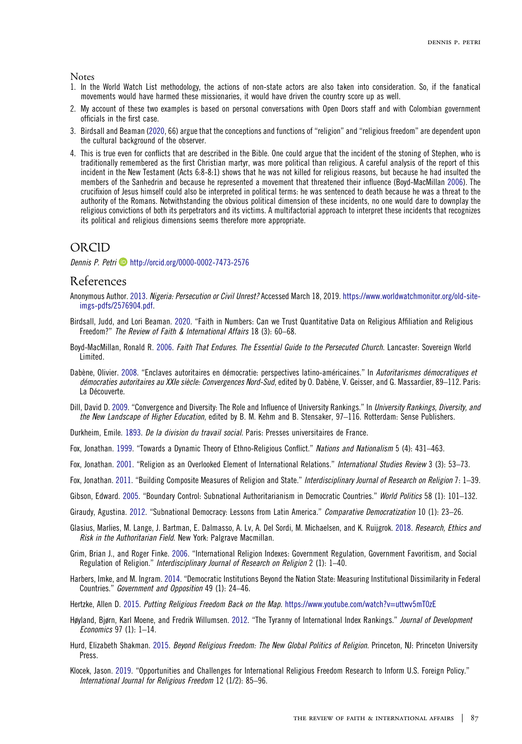<span id="page-6-7"></span>**Notes** 

- 1. In the World Watch List methodology, the actions of non-state actors are also taken into consideration. So, if the fanatical movements would have harmed these missionaries, it would have driven the country score up as well.
- <span id="page-6-8"></span>2. My account of these two examples is based on personal conversations with Open Doors staff and with Colombian government officials in the first case.
- <span id="page-6-17"></span>3. Birdsall and Beaman ([2020,](#page-6-9) 66) argue that the conceptions and functions of "religion" and "religious freedom" are dependent upon the cultural background of the observer.
- <span id="page-6-22"></span><span id="page-6-18"></span>4. This is true even for conflicts that are described in the Bible. One could argue that the incident of the stoning of Stephen, who is traditionally remembered as the first Christian martyr, was more political than religious. A careful analysis of the report of this incident in the New Testament (Acts 6:8-8:1) shows that he was not killed for religious reasons, but because he had insulted the members of the Sanhedrin and because he represented a movement that threatened their influence (Boyd-MacMillan [2006\)](#page-6-21). The crucifixion of Jesus himself could also be interpreted in political terms: he was sentenced to death because he was a threat to the authority of the Romans. Notwithstanding the obvious political dimension of these incidents, no one would dare to downplay the religious convictions of both its perpetrators and its victims. A multifactorial approach to interpret these incidents that recognizes its political and religious dimensions seems therefore more appropriate.

#### ORCID

Dennis P. Petri **D** <http://orcid.org/0000-0002-7473-2576>

#### References

- <span id="page-6-20"></span>Anonymous Author. [2013.](#page-4-0) Nigeria: Persecution or Civil Unrest? Accessed March 18, 2019. [https://www.worldwatchmonitor.org/old-site](https://www.worldwatchmonitor.org/old-site-imgs-pdfs/2576904.pdf)[imgs-pdfs/2576904.pdf.](https://www.worldwatchmonitor.org/old-site-imgs-pdfs/2576904.pdf)
- <span id="page-6-9"></span>Birdsall, Judd, and Lori Beaman. [2020.](#page-2-0) "Faith in Numbers: Can we Trust Quantitative Data on Religious Affiliation and Religious Freedom?" The Review of Faith & International Affairs 18 (3): 60–68.
- <span id="page-6-21"></span>Boyd-MacMillan, Ronald R. [2006.](#page-6-22) Faith That Endures. The Essential Guide to the Persecuted Church. Lancaster: Sovereign World Limited.
- <span id="page-6-12"></span>Dabène, Olivier. [2008](#page-3-0). "Enclaves autoritaires en démocratie: perspectives latino-américaines." In Autoritarismes démocratiques et démocraties autoritaires au XXIe siècle: Convergences Nord-Sud, edited by O. Dabène, V. Geisser, and G. Massardier, 89–112. Paris: La Découverte.
- <span id="page-6-6"></span>Dill, David D. [2009.](#page-2-1) "Convergence and Diversity: The Role and Influence of University Rankings." In University Rankings, Diversity, and the New Landscape of Higher Education, edited by B. M. Kehm and B. Stensaker, 97-116. Rotterdam: Sense Publishers.

<span id="page-6-3"></span>Durkheim, Emile. [1893](#page-1-0). De la division du travail social. Paris: Presses universitaires de France.

<span id="page-6-15"></span>Fox, Jonathan. [1999.](#page-4-1) "Towards a Dynamic Theory of Ethno-Religious Conflict." Nations and Nationalism 5 (4): 431–463.

<span id="page-6-19"></span>Fox, Jonathan. [2001.](#page-4-2) "Religion as an Overlooked Element of International Relations." International Studies Review 3 (3): 53–73.

<span id="page-6-1"></span>Fox, Jonathan. [2011](#page-1-1). "Building Composite Measures of Religion and State." Interdisciplinary Journal of Research on Religion 7: 1–39.

- <span id="page-6-11"></span>Gibson, Edward. [2005.](#page-3-1) "Boundary Control: Subnational Authoritarianism in Democratic Countries." World Politics 58 (1): 101–132.
- <span id="page-6-13"></span>Giraudy, Agustina. [2012](#page-3-0). "Subnational Democracy: Lessons from Latin America." Comparative Democratization 10 (1): 23–26.
- <span id="page-6-10"></span>Glasius, Marlies, M. Lange, J. Bartman, E. Dalmasso, A. Lv, A. Del Sordi, M. Michaelsen, and K. Ruijgrok. [2018.](#page-3-2) Research, Ethics and Risk in the Authoritarian Field. New York: Palgrave Macmillan.
- <span id="page-6-0"></span>Grim, Brian J., and Roger Finke. [2006](#page-1-2). "International Religion Indexes: Government Regulation, Government Favoritism, and Social Regulation of Religion." Interdisciplinary Journal of Research on Religion 2 (1): 1–40.
- <span id="page-6-14"></span>Harbers, Imke, and M. Ingram. [2014](#page-3-3). "Democratic Institutions Beyond the Nation State: Measuring Institutional Dissimilarity in Federal Countries." Government and Opposition 49 (1): 24–46.
- <span id="page-6-2"></span>Hertzke, Allen D. [2015](#page-1-3). Putting Religious Freedom Back on the Map. <https://www.youtube.com/watch?v=uttwv5mT0zE>
- <span id="page-6-5"></span>Høyland, Bjørn, Karl Moene, and Fredrik Willumsen. [2012.](#page-2-2) "The Tyranny of International Index Rankings." Journal of Development Economics 97 (1): 1–14.
- <span id="page-6-16"></span>Hurd, Elizabeth Shakman. [2015](#page-4-3). Beyond Religious Freedom: The New Global Politics of Religion. Princeton, NJ: Princeton University Press.
- <span id="page-6-4"></span>Klocek, Jason. [2019.](#page-1-4) "Opportunities and Challenges for International Religious Freedom Research to Inform U.S. Foreign Policy." International Journal for Religious Freedom 12 (1/2): 85–96.